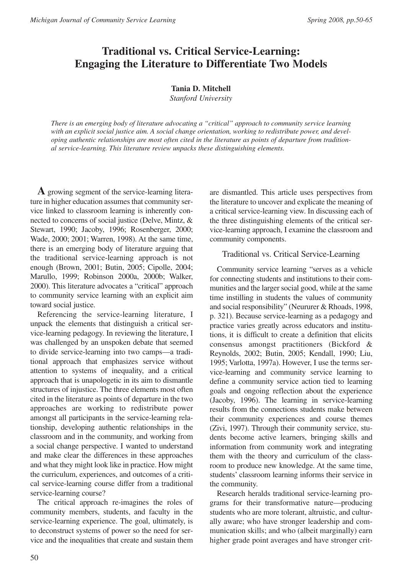# **Traditional vs. Critical Service-Learning: Engaging the Literature to Differentiate Two Models**

## **Tania D. Mitchell**

*Stanford University*

*There is an emerging body of literature advocating a "critical" approach to community service learning with an explicit social justice aim. A social change orientation, working to redistribute power, and developing authentic relationships are most often cited in the literature as points of departure from traditional service-learning. This literature review unpacks these distinguishing elements.*

**A** growing segment of the service-learning literature in higher education assumes that community service linked to classroom learning is inherently connected to concerns of social justice (Delve, Mintz, & Stewart, 1990; Jacoby, 1996; Rosenberger, 2000; Wade, 2000; 2001; Warren, 1998). At the same time, there is an emerging body of literature arguing that the traditional service-learning approach is not enough (Brown, 2001; Butin, 2005; Cipolle, 2004; Marullo, 1999; Robinson 2000a, 2000b; Walker, 2000). This literature advocates a "critical" approach to community service learning with an explicit aim toward social justice.

Referencing the service-learning literature, I unpack the elements that distinguish a critical service-learning pedagogy. In reviewing the literature, I was challenged by an unspoken debate that seemed to divide service-learning into two camps—a traditional approach that emphasizes service without attention to systems of inequality, and a critical approach that is unapologetic in its aim to dismantle structures of injustice. The three elements most often cited in the literature as points of departure in the two approaches are working to redistribute power amongst all participants in the service-learning relationship, developing authentic relationships in the classroom and in the community, and working from a social change perspective. I wanted to understand and make clear the differences in these approaches and what they might look like in practice. How might the curriculum, experiences, and outcomes of a critical service-learning course differ from a traditional service-learning course?

The critical approach re-imagines the roles of community members, students, and faculty in the service-learning experience. The goal, ultimately, is to deconstruct systems of power so the need for service and the inequalities that create and sustain them

are dismantled. This article uses perspectives from the literature to uncover and explicate the meaning of a critical service-learning view. In discussing each of the three distinguishing elements of the critical service-learning approach, I examine the classroom and community components.

## Traditional vs. Critical Service-Learning

Community service learning "serves as a vehicle for connecting students and institutions to their communities and the larger social good, while at the same time instilling in students the values of community and social responsibility" (Neururer & Rhoads, 1998, p. 321). Because service-learning as a pedagogy and practice varies greatly across educators and institutions, it is difficult to create a definition that elicits consensus amongst practitioners (Bickford & Reynolds, 2002; Butin, 2005; Kendall, 1990; Liu, 1995; Varlotta, 1997a). However, I use the terms service-learning and community service learning to define a community service action tied to learning goals and ongoing reflection about the experience (Jacoby, 1996). The learning in service-learning results from the connections students make between their community experiences and course themes (Zivi, 1997). Through their community service, students become active learners, bringing skills and information from community work and integrating them with the theory and curriculum of the classroom to produce new knowledge. At the same time, students' classroom learning informs their service in the community.

Research heralds traditional service-learning programs for their transformative nature—producing students who are more tolerant, altruistic, and culturally aware; who have stronger leadership and communication skills; and who (albeit marginally) earn higher grade point averages and have stronger crit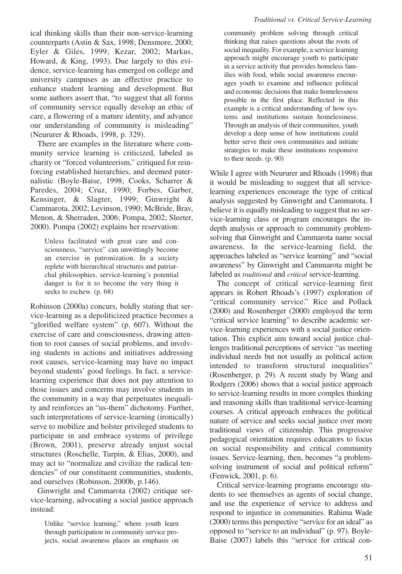ical thinking skills than their non-service-learning counterparts (Astin & Sax, 1998; Densmore, 2000; Eyler & Giles, 1999; Kezar, 2002; Markus, Howard, & King, 1993). Due largely to this evidence, service-learning has emerged on college and university campuses as an effective practice to enhance student learning and development. But some authors assert that, "to suggest that all forms of community service equally develop an ethic of care, a flowering of a mature identity, and advance our understanding of community is misleading" (Neururer & Rhoads, 1998, p. 329).

There are examples in the literature where community service learning is criticized, labeled as charity or "forced volunteerism," critiqued for reinforcing established hierarchies, and deemed paternalistic (Boyle-Baise, 1998; Cooks, Scharrer & Paredes, 2004; Cruz, 1990; Forbes, Garber, Kensinger, & Slagter, 1999; Ginwright & Cammarota, 2002; Levinson, 1990; McBride, Brav, Menon, & Sherraden, 2006; Pompa, 2002; Sleeter, 2000). Pompa (2002) explains her reservation:

Unless facilitated with great care and consciousness, "service" can unwittingly become an exercise in patronization. In a society replete with hierarchical structures and patriarchal philosophies, service-learning's potential danger is for it to become the very thing it seeks to eschew. (p. 68)

Robinson (2000a) concurs, boldly stating that service-learning as a depoliticized practice becomes a "glorified welfare system" (p. 607). Without the exercise of care and consciousness, drawing attention to root causes of social problems, and involving students in actions and initiatives addressing root causes, service-learning may have no impact beyond students' good feelings. In fact, a servicelearning experience that does not pay attention to those issues and concerns may involve students in the community in a way that perpetuates inequality and reinforces an "us-them" dichotomy. Further, such interpretations of service-learning (ironically) serve to mobilize and bolster privileged students to participate in and embrace systems of privilege (Brown, 2001), preserve already unjust social structures (Roschelle, Turpin, & Elias, 2000), and may act to "normalize and civilize the radical tendencies" of our constituent communities, students, and ourselves (Robinson, 2000b, p.146).

Ginwright and Cammarota (2002) critique service-learning, advocating a social justice approach instead:

Unlike "service learning," where youth learn through participation in community service projects, social awareness places an emphasis on

## *Traditional vs. Critical Service-Learning*

community problem solving through critical thinking that raises questions about the roots of social inequality. For example, a service learning approach might encourage youth to participate in a service activity that provides homeless families with food, while social awareness encourages youth to examine and influence political and economic decisions that make homelessness possible in the first place. Reflected in this example is a critical understanding of how systems and institutions sustain homelessness. Through an analysis of their communities, youth develop a deep sense of how institutions could better serve their own communities and initiate strategies to make these institutions responsive to their needs. (p. 90)

While I agree with Neururer and Rhoads (1998) that it would be misleading to suggest that all servicelearning experiences encourage the type of critical analysis suggested by Ginwright and Cammarota, I believe it is equally misleading to suggest that no service-learning class or program encourages the indepth analysis or approach to community problemsolving that Ginwright and Cammarota name social awareness. In the service-learning field, the approaches labeled as "service learning" and "social awareness" by Ginwright and Cammarota might be labeled as *traditional* and *critical* service-learning.

The concept of critical service-learning first appears in Robert Rhoads's (1997) exploration of "critical community service." Rice and Pollack (2000) and Rosenberger (2000) employed the term "critical service learning" to describe academic service-learning experiences with a social justice orientation. This explicit aim toward social justice challenges traditional perceptions of service "as meeting individual needs but not usually as political action intended to transform structural inequalities" (Rosenberger, p. 29). A recent study by Wang and Rodgers (2006) shows that a social justice approach to service-learning results in more complex thinking and reasoning skills than traditional service-learning courses. A critical approach embraces the political nature of service and seeks social justice over more traditional views of citizenship. This progressive pedagogical orientation requires educators to focus on social responsibility and critical community issues. Service-learning, then, becomes "a problemsolving instrument of social and political reform" (Fenwick, 2001, p. 6).

Critical service-learning programs encourage students to see themselves as agents of social change, and use the experience of service to address and respond to injustice in communities. Rahima Wade (2000) terms this perspective "service for an ideal" as opposed to "service to an individual" (p. 97). Boyle-Baise (2007) labels this "service for critical con-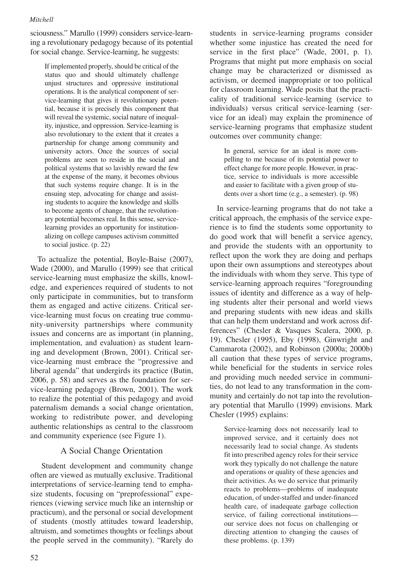sciousness." Marullo (1999) considers service-learning a revolutionary pedagogy because of its potential for social change. Service-learning, he suggests:

If implemented properly, should be critical of the status quo and should ultimately challenge unjust structures and oppressive institutional operations. It is the analytical component of service-learning that gives it revolutionary potential, because it is precisely this component that will reveal the systemic, social nature of inequality, injustice, and oppression. Service-learning is also revolutionary to the extent that it creates a partnership for change among community and university actors. Once the sources of social problems are seen to reside in the social and political systems that so lavishly reward the few at the expense of the many, it becomes obvious that such systems require change. It is in the ensuing step, advocating for change and assisting students to acquire the knowledge and skills to become agents of change, that the revolutionary potential becomes real. In this sense, servicelearning provides an opportunity for institutionalizing on college campuses activism committed to social justice. (p. 22)

To actualize the potential, Boyle-Baise (2007), Wade (2000), and Marullo (1999) see that critical service-learning must emphasize the skills, knowledge, and experiences required of students to not only participate in communities, but to transform them as engaged and active citizens. Critical service-learning must focus on creating true community-university partnerships where community issues and concerns are as important (in planning, implementation, and evaluation) as student learning and development (Brown, 2001). Critical service-learning must embrace the "progressive and liberal agenda" that undergirds its practice (Butin, 2006, p. 58) and serves as the foundation for service-learning pedagogy (Brown, 2001). The work to realize the potential of this pedagogy and avoid paternalism demands a social change orientation, working to redistribute power, and developing authentic relationships as central to the classroom and community experience (see Figure 1).

## A Social Change Orientation

Student development and community change often are viewed as mutually exclusive. Traditional interpretations of service-learning tend to emphasize students, focusing on "preprofessional" experiences (viewing service much like an internship or practicum), and the personal or social development of students (mostly attitudes toward leadership, altruism, and sometimes thoughts or feelings about the people served in the community). "Rarely do students in service-learning programs consider whether some injustice has created the need for service in the first place" (Wade, 2001, p. 1). Programs that might put more emphasis on social change may be characterized or dismissed as activism, or deemed inappropriate or too political for classroom learning. Wade posits that the practicality of traditional service-learning (service to individuals) versus critical service-learning (service for an ideal) may explain the prominence of service-learning programs that emphasize student outcomes over community change:

In general, service for an ideal is more compelling to me because of its potential power to effect change for more people. However, in practice, service to individuals is more accessible and easier to facilitate with a given group of students over a short time (e.g., a semester). (p. 98)

In service-learning programs that do not take a critical approach, the emphasis of the service experience is to find the students some opportunity to do good work that will benefit a service agency, and provide the students with an opportunity to reflect upon the work they are doing and perhaps upon their own assumptions and stereotypes about the individuals with whom they serve. This type of service-learning approach requires "foregrounding issues of identity and difference as a way of helping students alter their personal and world views and preparing students with new ideas and skills that can help them understand and work across differences" (Chesler & Vasques Scalera, 2000, p. 19). Chesler (1995), Eby (1998), Ginwright and Cammarota (2002), and Robinson (2000a; 2000b) all caution that these types of service programs, while beneficial for the students in service roles and providing much needed service in communities, do not lead to any transformation in the community and certainly do not tap into the revolutionary potential that Marullo (1999) envisions. Mark Chesler (1995) explains:

Service-learning does not necessarily lead to improved service, and it certainly does not necessarily lead to social change. As students fit into prescribed agency roles for their service work they typically do not challenge the nature and operations or quality of these agencies and their activities. As we do service that primarily reacts to problems—problems of inadequate education, of under-staffed and under-financed health care, of inadequate garbage collection service, of failing correctional institutions our service does not focus on challenging or directing attention to changing the causes of these problems. (p. 139)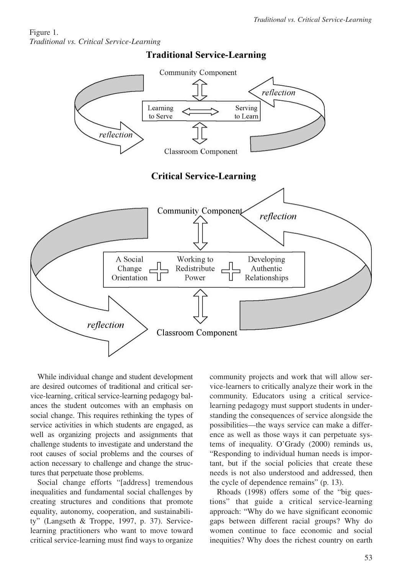## Figure 1. *Traditional vs. Critical Service-Learning*



## **Traditional Service-Learning**

While individual change and student development are desired outcomes of traditional and critical service-learning, critical service-learning pedagogy balances the student outcomes with an emphasis on social change. This requires rethinking the types of service activities in which students are engaged, as well as organizing projects and assignments that challenge students to investigate and understand the root causes of social problems and the courses of action necessary to challenge and change the structures that perpetuate those problems.

Social change efforts "[address] tremendous inequalities and fundamental social challenges by creating structures and conditions that promote equality, autonomy, cooperation, and sustainability" (Langseth & Troppe, 1997, p. 37). Servicelearning practitioners who want to move toward critical service-learning must find ways to organize community projects and work that will allow service-learners to critically analyze their work in the community. Educators using a critical servicelearning pedagogy must support students in understanding the consequences of service alongside the possibilities—the ways service can make a difference as well as those ways it can perpetuate systems of inequality. O'Grady (2000) reminds us, "Responding to individual human needs is important, but if the social policies that create these needs is not also understood and addressed, then the cycle of dependence remains" (p. 13).

Rhoads (1998) offers some of the "big questions" that guide a critical service-learning approach: "Why do we have significant economic gaps between different racial groups? Why do women continue to face economic and social inequities? Why does the richest country on earth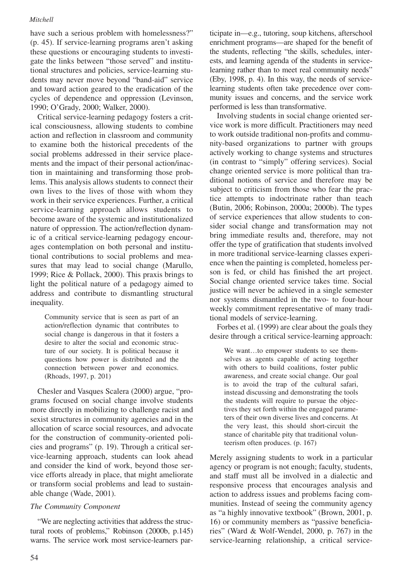have such a serious problem with homelessness?" (p. 45). If service-learning programs aren't asking these questions or encouraging students to investigate the links between "those served" and institutional structures and policies, service-learning students may never move beyond "band-aid" service and toward action geared to the eradication of the cycles of dependence and oppression (Levinson, 1990; O'Grady, 2000; Walker, 2000).

Critical service-learning pedagogy fosters a critical consciousness, allowing students to combine action and reflection in classroom and community to examine both the historical precedents of the social problems addressed in their service placements and the impact of their personal action/inaction in maintaining and transforming those problems. This analysis allows students to connect their own lives to the lives of those with whom they work in their service experiences. Further, a critical service-learning approach allows students to become aware of the systemic and institutionalized nature of oppression. The action/reflection dynamic of a critical service-learning pedagogy encourages contemplation on both personal and institutional contributions to social problems and measures that may lead to social change (Marullo, 1999; Rice & Pollack, 2000). This praxis brings to light the political nature of a pedagogy aimed to address and contribute to dismantling structural inequality.

Community service that is seen as part of an action/reflection dynamic that contributes to social change is dangerous in that it fosters a desire to alter the social and economic structure of our society. It is political because it questions how power is distributed and the connection between power and economics. (Rhoads, 1997, p. 201)

Chesler and Vasques Scalera (2000) argue, "programs focused on social change involve students more directly in mobilizing to challenge racist and sexist structures in community agencies and in the allocation of scarce social resources, and advocate for the construction of community-oriented policies and programs" (p. 19). Through a critical service-learning approach, students can look ahead and consider the kind of work, beyond those service efforts already in place, that might ameliorate or transform social problems and lead to sustainable change (Wade, 2001).

#### *The Community Component*

"We are neglecting activities that address the structural roots of problems," Robinson (2000b, p.145) warns. The service work most service-learners par-

ticipate in—e.g., tutoring, soup kitchens, afterschool enrichment programs—are shaped for the benefit of the students, reflecting "the skills, schedules, interests, and learning agenda of the students in servicelearning rather than to meet real community needs" (Eby, 1998, p. 4). In this way, the needs of servicelearning students often take precedence over community issues and concerns, and the service work performed is less than transformative.

Involving students in social change oriented service work is more difficult. Practitioners may need to work outside traditional non-profits and community-based organizations to partner with groups actively working to change systems and structures (in contrast to "simply" offering services). Social change oriented service is more political than traditional notions of service and therefore may be subject to criticism from those who fear the practice attempts to indoctrinate rather than teach (Butin, 2006; Robinson, 2000a; 2000b). The types of service experiences that allow students to consider social change and transformation may not bring immediate results and, therefore, may not offer the type of gratification that students involved in more traditional service-learning classes experience when the painting is completed, homeless person is fed, or child has finished the art project. Social change oriented service takes time. Social justice will never be achieved in a single semester nor systems dismantled in the two- to four-hour weekly commitment representative of many traditional models of service-learning.

Forbes et al. (1999) are clear about the goals they desire through a critical service-learning approach:

We want…to empower students to see themselves as agents capable of acting together with others to build coalitions, foster public awareness, and create social change. Our goal is to avoid the trap of the cultural safari, instead discussing and demonstrating the tools the students will require to pursue the objectives they set forth within the engaged parameters of their own diverse lives and concerns. At the very least, this should short-circuit the stance of charitable pity that traditional volunteerism often produces. (p. 167)

Merely assigning students to work in a particular agency or program is not enough; faculty, students, and staff must all be involved in a dialectic and responsive process that encourages analysis and action to address issues and problems facing communities. Instead of seeing the community agency as "a highly innovative textbook" (Brown, 2001, p. 16) or community members as "passive beneficiaries" (Ward & Wolf-Wendel, 2000, p. 767) in the service-learning relationship, a critical service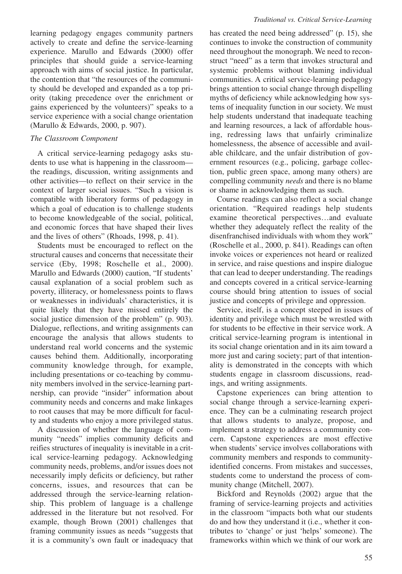learning pedagogy engages community partners actively to create and define the service-learning experience. Marullo and Edwards (2000) offer principles that should guide a service-learning approach with aims of social justice. In particular, the contention that "the resources of the community should be developed and expanded as a top priority (taking precedence over the enrichment or gains experienced by the volunteers)" speaks to a service experience with a social change orientation (Marullo & Edwards, 2000, p. 907).

#### *The Classroom Component*

A critical service-learning pedagogy asks students to use what is happening in the classroom the readings, discussion, writing assignments and other activities—to reflect on their service in the context of larger social issues. "Such a vision is compatible with liberatory forms of pedagogy in which a goal of education is to challenge students to become knowledgeable of the social, political, and economic forces that have shaped their lives and the lives of others" (Rhoads, 1998, p. 41).

Students must be encouraged to reflect on the structural causes and concerns that necessitate their service (Eby, 1998; Roschelle et al., 2000). Marullo and Edwards (2000) caution, "If students' causal explanation of a social problem such as poverty, illiteracy, or homelessness points to flaws or weaknesses in individuals' characteristics, it is quite likely that they have missed entirely the social justice dimension of the problem" (p. 903). Dialogue, reflections, and writing assignments can encourage the analysis that allows students to understand real world concerns and the systemic causes behind them. Additionally, incorporating community knowledge through, for example, including presentations or co-teaching by community members involved in the service-learning partnership, can provide "insider" information about community needs and concerns and make linkages to root causes that may be more difficult for faculty and students who enjoy a more privileged status.

A discussion of whether the language of community "needs" implies community deficits and reifies structures of inequality is inevitable in a critical service-learning pedagogy. Acknowledging community needs, problems, and/or issues does not necessarily imply deficits or deficiency, but rather concerns, issues, and resources that can be addressed through the service-learning relationship. This problem of language is a challenge addressed in the literature but not resolved. For example, though Brown (2001) challenges that framing community issues as needs "suggests that it is a community's own fault or inadequacy that has created the need being addressed" (p. 15), she continues to invoke the construction of community need throughout the monograph. We need to reconstruct "need" as a term that invokes structural and systemic problems without blaming individual communities. A critical service-learning pedagogy brings attention to social change through dispelling myths of deficiency while acknowledging how systems of inequality function in our society. We must help students understand that inadequate teaching and learning resources, a lack of affordable housing, redressing laws that unfairly criminalize homelessness, the absence of accessible and available childcare, and the unfair distribution of government resources (e.g., policing, garbage collection, public green space, among many others) are compelling community *needs* and there is no blame or shame in acknowledging them as such.

Course readings can also reflect a social change orientation. "Required readings help students examine theoretical perspectives…and evaluate whether they adequately reflect the reality of the disenfranchised individuals with whom they work" (Roschelle et al., 2000, p. 841). Readings can often invoke voices or experiences not heard or realized in service, and raise questions and inspire dialogue that can lead to deeper understanding. The readings and concepts covered in a critical service-learning course should bring attention to issues of social justice and concepts of privilege and oppression.

Service, itself, is a concept steeped in issues of identity and privilege which must be wrestled with for students to be effective in their service work. A critical service-learning program is intentional in its social change orientation and in its aim toward a more just and caring society; part of that intentionality is demonstrated in the concepts with which students engage in classroom discussions, readings, and writing assignments.

Capstone experiences can bring attention to social change through a service-learning experience. They can be a culminating research project that allows students to analyze, propose, and implement a strategy to address a community concern. Capstone experiences are most effective when students' service involves collaborations with community members and responds to communityidentified concerns. From mistakes and successes, students come to understand the process of community change (Mitchell, 2007).

Bickford and Reynolds (2002) argue that the framing of service-learning projects and activities in the classroom "impacts both what our students do and how they understand it (i.e., whether it contributes to 'change' or just 'helps' someone). The frameworks within which we think of our work are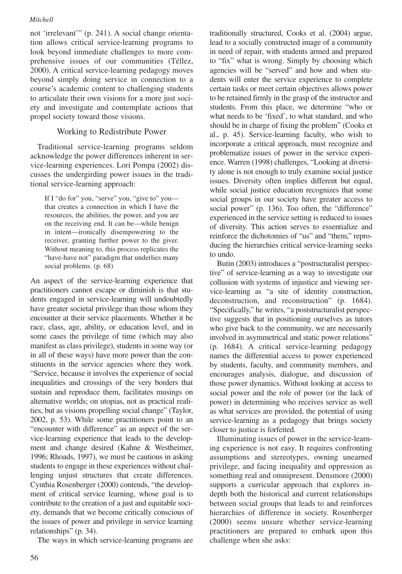not 'irrelevant'" (p. 241). A social change orientation allows critical service-learning programs to look beyond immediate challenges to more comprehensive issues of our communities (Téllez, 2000). A critical service-learning pedagogy moves beyond simply doing service in connection to a course's academic content to challenging students to articulate their own visions for a more just society and investigate and contemplate actions that propel society toward those visions.

## Working to Redistribute Power

Traditional service-learning programs seldom acknowledge the power differences inherent in service-learning experiences. Lori Pompa (2002) discusses the undergirding power issues in the traditional service-learning approach:

If I "do for" you, "serve" you, "give to" you that creates a connection in which I have the resources, the abilities, the power, and you are on the receiving end. It can be—while benign in intent—ironically disempowering to the receiver, granting further power to the giver. Without meaning to, this process replicates the "have-have not" paradigm that underlies many social problems. (p. 68)

An aspect of the service-learning experience that practitioners cannot escape or diminish is that students engaged in service-learning will undoubtedly have greater societal privilege than those whom they encounter at their service placements. Whether it be race, class, age, ability, or education level, and in some cases the privilege of time (which may also manifest as class privilege), students in some way (or in all of these ways) have more power than the constituents in the service agencies where they work. "Service, because it involves the experience of social inequalities and crossings of the very borders that sustain and reproduce them, facilitates musings on alternative worlds; on utopias, not as practical realities, but as visions propelling social change" (Taylor, 2002, p. 53). While some practitioners point to an "encounter with difference" as an aspect of the service-learning experience that leads to the development and change desired (Kahne & Westheimer, 1996; Rhoads, 1997), we must be cautious in asking students to engage in these experiences without challenging unjust structures that create differences. Cynthia Rosenberger (2000) contends, "the development of critical service learning, whose goal is to contribute to the creation of a just and equitable society, demands that we become critically conscious of the issues of power and privilege in service learning relationships" (p. 34).

The ways in which service-learning programs are

traditionally structured, Cooks et al. (2004) argue, lead to a socially constructed image of a community in need of repair, with students armed and prepared to "fix" what is wrong. Simply by choosing which agencies will be "served" and how and when students will enter the service experience to complete certain tasks or meet certain objectives allows power to be retained firmly in the grasp of the instructor and students. From this place, we determine "who or what needs to be 'fixed', to what standard, and who should be in charge of fixing the problem" (Cooks et al., p. 45). Service-learning faculty, who wish to incorporate a critical approach, must recognize and problematize issues of power in the service experience. Warren (1998) challenges, "Looking at diversity alone is not enough to truly examine social justice issues. Diversity often implies different but equal, while social justice education recognizes that some social groups in our society have greater access to social power" (p. 136). Too often, the "difference" experienced in the service setting is reduced to issues of diversity. This action serves to essentialize and reinforce the dichotomies of "us" and "them," reproducing the hierarchies critical service-learning seeks to undo.

Butin (2003) introduces a "postructuralist perspective" of service-learning as a way to investigate our collusion with systems of injustice and viewing service-learning as "a site of identity construction, deconstruction, and reconstruction" (p. 1684). "Specifically," he writes, "a poststructuralist perspective suggests that in positioning ourselves as tutors who give back to the community, we are necessarily involved in asymmetrical and static power relations" (p. 1684). A critical service-learning pedagogy names the differential access to power experienced by students, faculty, and community members, and encourages analysis, dialogue, and discussion of those power dynamics. Without looking at access to social power and the role of power (or the lack of power) in determining who receives service as well as what services are provided, the potential of using service-learning as a pedagogy that brings society closer to justice is forfeited.

Illuminating issues of power in the service-learning experience is not easy. It requires confronting assumptions and stereotypes, owning unearned privilege, and facing inequality and oppression as something real and omnipresent. Densmore (2000) supports a curricular approach that explores indepth both the historical and current relationships between social groups that leads to and reinforces hierarchies of difference in society. Rosenberger (2000) seems unsure whether service-learning practitioners are prepared to embark upon this challenge when she asks: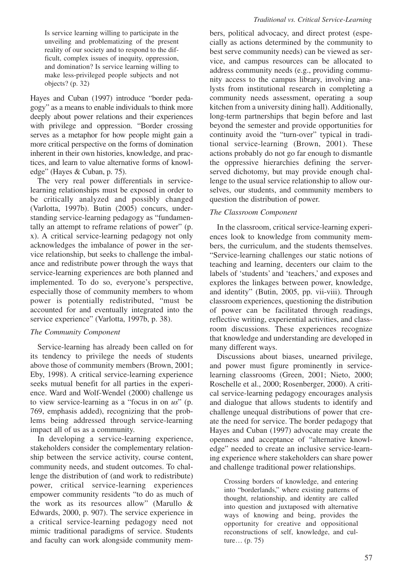Is service learning willing to participate in the unveiling and problematizing of the present reality of our society and to respond to the difficult, complex issues of inequity, oppression, and domination? Is service learning willing to make less-privileged people subjects and not objects? (p. 32)

Hayes and Cuban (1997) introduce "border pedagogy" as a means to enable individuals to think more deeply about power relations and their experiences with privilege and oppression. "Border crossing serves as a metaphor for how people might gain a more critical perspective on the forms of domination inherent in their own histories, knowledge, and practices, and learn to value alternative forms of knowledge" (Hayes & Cuban, p. 75).

The very real power differentials in servicelearning relationships must be exposed in order to be critically analyzed and possibly changed (Varlotta, 1997b). Butin (2005) concurs, understanding service-learning pedagogy as "fundamentally an attempt to reframe relations of power" (p. x). A critical service-learning pedagogy not only acknowledges the imbalance of power in the service relationship, but seeks to challenge the imbalance and redistribute power through the ways that service-learning experiences are both planned and implemented. To do so, everyone's perspective, especially those of community members to whom power is potentially redistributed, "must be accounted for and eventually integrated into the service experience" (Varlotta, 1997b, p. 38).

#### *The Community Component*

Service-learning has already been called on for its tendency to privilege the needs of students above those of community members (Brown, 2001; Eby, 1998). A critical service-learning experience seeks mutual benefit for all parties in the experience. Ward and Wolf-Wendel (2000) challenge us to view service-learning as a "focus in on *us*" (p. 769, emphasis added), recognizing that the problems being addressed through service-learning impact all of us as a community.

In developing a service-learning experience, stakeholders consider the complementary relationship between the service activity, course content, community needs, and student outcomes. To challenge the distribution of (and work to redistribute) power, critical service-learning experiences empower community residents "to do as much of the work as its resources allow" (Marullo & Edwards, 2000, p. 907). The service experience in a critical service-learning pedagogy need not mimic traditional paradigms of service. Students and faculty can work alongside community mem-

bers, political advocacy, and direct protest (especially as actions determined by the community to best serve community needs) can be viewed as service, and campus resources can be allocated to address community needs (e.g., providing community access to the campus library, involving analysts from institutional research in completing a community needs assessment, operating a soup kitchen from a university dining hall). Additionally, long-term partnerships that begin before and last beyond the semester and provide opportunities for continuity avoid the "turn-over" typical in traditional service-learning (Brown, 2001). These actions probably do not go far enough to dismantle the oppressive hierarchies defining the serverserved dichotomy, but may provide enough challenge to the usual service relationship to allow ourselves, our students, and community members to question the distribution of power.

#### *The Classroom Component*

In the classroom, critical service-learning experiences look to knowledge from community members, the curriculum, and the students themselves. "Service-learning challenges our static notions of teaching and learning, decenters our claim to the labels of 'students' and 'teachers,' and exposes and explores the linkages between power, knowledge, and identity" (Butin, 2005, pp. vii-viii). Through classroom experiences, questioning the distribution of power can be facilitated through readings, reflective writing, experiential activities, and classroom discussions. These experiences recognize that knowledge and understanding are developed in many different ways.

Discussions about biases, unearned privilege, and power must figure prominently in servicelearning classrooms (Green, 2001; Nieto, 2000; Roschelle et al., 2000; Rosenberger, 2000). A critical service-learning pedagogy encourages analysis and dialogue that allows students to identify and challenge unequal distributions of power that create the need for service. The border pedagogy that Hayes and Cuban (1997) advocate may create the openness and acceptance of "alternative knowledge" needed to create an inclusive service-learning experience where stakeholders can share power and challenge traditional power relationships.

Crossing borders of knowledge, and entering into "borderlands," where existing patterns of thought, relationship, and identity are called into question and juxtaposed with alternative ways of knowing and being, provides the opportunity for creative and oppositional reconstructions of self, knowledge, and culture… (p. 75)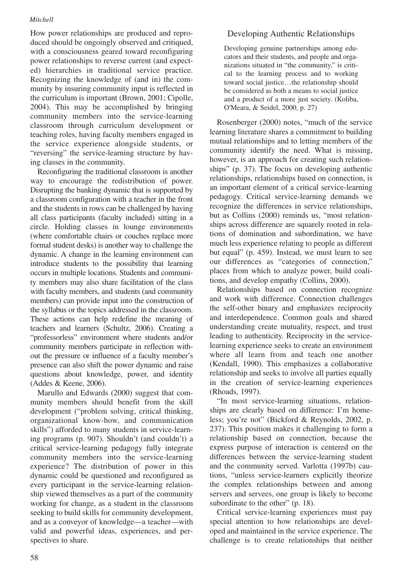How power relationships are produced and reproduced should be ongoingly observed and critiqued, with a consciousness geared toward reconfiguring power relationships to reverse current (and expected) hierarchies in traditional service practice. Recognizing the knowledge of (and in) the community by insuring community input is reflected in the curriculum is important (Brown, 2001; Cipolle, 2004). This may be accomplished by bringing community members into the service-learning classroom through curriculum development or teaching roles, having faculty members engaged in the service experience alongside students, or "reversing" the service-learning structure by having classes in the community.

Reconfiguring the traditional classroom is another way to encourage the redistribution of power. Disrupting the banking dynamic that is supported by a classroom configuration with a teacher in the front and the students in rows can be challenged by having all class participants (faculty included) sitting in a circle. Holding classes in lounge environments (where comfortable chairs or couches replace more formal student desks) is another way to challenge the dynamic. A change in the learning environment can introduce students to the possibility that learning occurs in multiple locations. Students and community members may also share facilitation of the class with faculty members, and students (and community members) can provide input into the construction of the syllabus or the topics addressed in the classroom. These actions can help redefine the meaning of teachers and learners (Schultz, 2006). Creating a "professorless" environment where students and/or community members participate in reflection without the pressure or influence of a faculty member's presence can also shift the power dynamic and raise questions about knowledge, power, and identity (Addes & Keene, 2006).

Marullo and Edwards (2000) suggest that community members should benefit from the skill development ("problem solving, critical thinking, organizational know-how, and communication skills") afforded to many students in service-learning programs (p. 907). Shouldn't (and couldn't) a critical service-learning pedagogy fully integrate community members into the service-learning experience? The distribution of power in this dynamic could be questioned and reconfigured as every participant in the service-learning relationship viewed themselves as a part of the community working for change, as a student in the classroom seeking to build skills for community development, and as a conveyor of knowledge—a teacher—with valid and powerful ideas, experiences, and perspectives to share.

## Developing Authentic Relationships

Developing genuine partnerships among educators and their students, and people and organizations situated in "the community," is critical to the learning process and to working toward social justice…the relationship should be considered as both a means to social justice and a product of a more just society. (Koliba, O'Meara, & Seidel, 2000, p. 27)

Rosenberger (2000) notes, "much of the service learning literature shares a commitment to building mutual relationships and to letting members of the community identify the need. What is missing, however, is an approach for creating such relationships" (p. 37). The focus on developing authentic relationships, relationships based on connection, is an important element of a critical service-learning pedagogy. Critical service-learning demands we recognize the differences in service relationships, but as Collins (2000) reminds us, "most relationships across difference are squarely rooted in relations of domination and subordination, we have much less experience relating to people as different but equal" (p. 459). Instead, we must learn to see our differences as "categories of connection," places from which to analyze power, build coalitions, and develop empathy (Collins, 2000).

Relationships based on connection recognize and work with difference. Connection challenges the self-other binary and emphasizes reciprocity and interdependence. Common goals and shared understanding create mutuality, respect, and trust leading to authenticity. Reciprocity in the servicelearning experience seeks to create an environment where all learn from and teach one another (Kendall, 1990). This emphasizes a collaborative relationship and seeks to involve all parties equally in the creation of service-learning experiences (Rhoads, 1997).

"In most service-learning situations, relationships are clearly based on difference: I'm homeless; you're not" (Bickford & Reynolds, 2002, p. 237). This position makes it challenging to form a relationship based on connection, because the express purpose of interaction is centered on the differences between the service-learning student and the community served. Varlotta (1997b) cautions, "unless service-learners explicitly theorize the complex relationships between and among servers and servees, one group is likely to become subordinate to the other" (p. 18).

Critical service-learning experiences must pay special attention to how relationships are developed and maintained in the service experience. The challenge is to create relationships that neither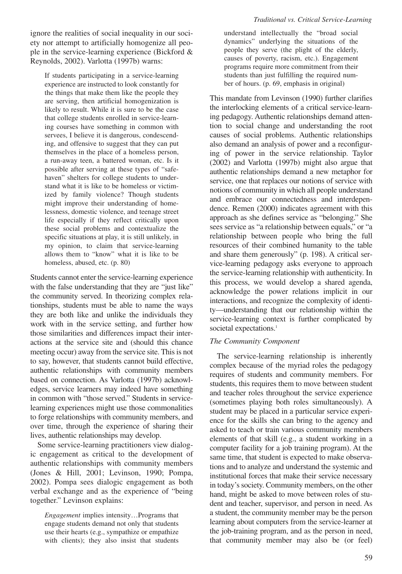*Traditional vs. Critical Service-Learning*

ignore the realities of social inequality in our society nor attempt to artificially homogenize all people in the service-learning experience (Bickford & Reynolds, 2002). Varlotta (1997b) warns:

If students participating in a service-learning experience are instructed to look constantly for the things that make them like the people they are serving, then artificial homogenization is likely to result. While it is sure to be the case that college students enrolled in service-learning courses have something in common with servees, I believe it is dangerous, condescending, and offensive to suggest that they can put themselves in the place of a homeless person, a run-away teen, a battered woman, etc. Is it possible after serving at these types of "safehaven" shelters for college students to understand what it is like to be homeless or victimized by family violence? Though students might improve their understanding of homelessness, domestic violence, and teenage street life especially if they reflect critically upon these social problems and contextualize the specific situations at play, it is still unlikely, in my opinion, to claim that service-learning allows them to "know" what it is like to be homeless, abused, etc. (p. 80)

Students cannot enter the service-learning experience with the false understanding that they are "just like" the community served. In theorizing complex relationships, students must be able to name the ways they are both like and unlike the individuals they work with in the service setting, and further how those similarities and differences impact their interactions at the service site and (should this chance meeting occur) away from the service site. This is not to say, however, that students cannot build effective, authentic relationships with community members based on connection. As Varlotta (1997b) acknowledges, service learners may indeed have something in common with "those served." Students in servicelearning experiences might use those commonalities to forge relationships with community members, and over time, through the experience of sharing their lives, authentic relationships may develop.

Some service-learning practitioners view dialogic engagement as critical to the development of authentic relationships with community members (Jones & Hill, 2001; Levinson, 1990; Pompa, 2002). Pompa sees dialogic engagement as both verbal exchange and as the experience of "being together." Levinson explains:

*Engagement* implies intensity…Programs that engage students demand not only that students use their hearts (e.g., sympathize or empathize with clients); they also insist that students understand intellectually the "broad social dynamics" underlying the situations of the people they serve (the plight of the elderly, causes of poverty, racism, etc.). Engagement programs require more commitment from their students than just fulfilling the required number of hours. (p. 69, emphasis in original)

This mandate from Levinson (1990) further clarifies the interlocking elements of a critical service-learning pedagogy. Authentic relationships demand attention to social change and understanding the root causes of social problems. Authentic relationships also demand an analysis of power and a reconfiguring of power in the service relationship. Taylor (2002) and Varlotta (1997b) might also argue that authentic relationships demand a new metaphor for service, one that replaces our notions of service with notions of community in which all people understand and embrace our connectedness and interdependence. Remen (2000) indicates agreement with this approach as she defines service as "belonging." She sees service as "a relationship between equals," or "a relationship between people who bring the full resources of their combined humanity to the table and share them generously" (p. 198). A critical service-learning pedagogy asks everyone to approach the service-learning relationship with authenticity. In this process, we would develop a shared agenda, acknowledge the power relations implicit in our interactions, and recognize the complexity of identity—understanding that our relationship within the service-learning context is further complicated by societal expectations.<sup>1</sup>

## *The Community Component*

The service-learning relationship is inherently complex because of the myriad roles the pedagogy requires of students and community members. For students, this requires them to move between student and teacher roles throughout the service experience (sometimes playing both roles simultaneously). A student may be placed in a particular service experience for the skills she can bring to the agency and asked to teach or train various community members elements of that skill (e.g., a student working in a computer facility for a job training program). At the same time, that student is expected to make observations and to analyze and understand the systemic and institutional forces that make their service necessary in today's society. Community members, on the other hand, might be asked to move between roles of student and teacher, supervisor, and person in need. As a student, the community member may be the person learning about computers from the service-learner at the job-training program, and as the person in need, that community member may also be (or feel)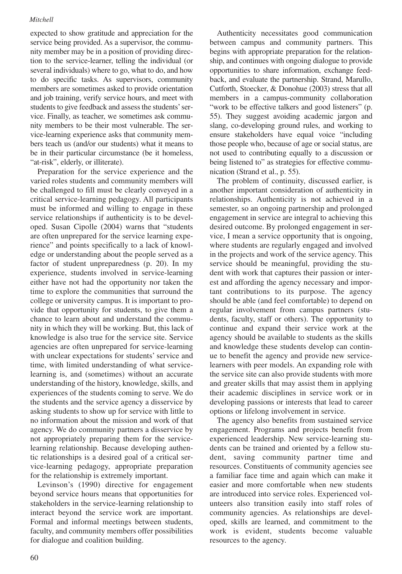expected to show gratitude and appreciation for the service being provided. As a supervisor, the community member may be in a position of providing direction to the service-learner, telling the individual (or several individuals) where to go, what to do, and how to do specific tasks. As supervisors, community members are sometimes asked to provide orientation and job training, verify service hours, and meet with students to give feedback and assess the students' service. Finally, as teacher, we sometimes ask community members to be their most vulnerable. The service-learning experience asks that community members teach us (and/or our students) what it means to be in their particular circumstance (be it homeless, "at-risk", elderly, or illiterate).

Preparation for the service experience and the varied roles students and community members will be challenged to fill must be clearly conveyed in a critical service-learning pedagogy. All participants must be informed and willing to engage in these service relationships if authenticity is to be developed. Susan Cipolle (2004) warns that "students are often unprepared for the service learning experience" and points specifically to a lack of knowledge or understanding about the people served as a factor of student unpreparedness (p. 20). In my experience, students involved in service-learning either have not had the opportunity nor taken the time to explore the communities that surround the college or university campus. It is important to provide that opportunity for students, to give them a chance to learn about and understand the community in which they will be working. But, this lack of knowledge is also true for the service site. Service agencies are often unprepared for service-learning with unclear expectations for students' service and time, with limited understanding of what servicelearning is, and (sometimes) without an accurate understanding of the history, knowledge, skills, and experiences of the students coming to serve. We do the students and the service agency a disservice by asking students to show up for service with little to no information about the mission and work of that agency. We do community partners a disservice by not appropriately preparing them for the servicelearning relationship. Because developing authentic relationships is a desired goal of a critical service-learning pedagogy, appropriate preparation for the relationship is extremely important.

Levinson's (1990) directive for engagement beyond service hours means that opportunities for stakeholders in the service-learning relationship to interact beyond the service work are important. Formal and informal meetings between students, faculty, and community members offer possibilities for dialogue and coalition building.

Authenticity necessitates good communication between campus and community partners. This begins with appropriate preparation for the relationship, and continues with ongoing dialogue to provide opportunities to share information, exchange feedback, and evaluate the partnership. Strand, Marullo, Cutforth, Stoecker, & Donohue (2003) stress that all members in a campus-community collaboration "work to be effective talkers and good listeners" (p. 55). They suggest avoiding academic jargon and slang, co-developing ground rules, and working to ensure stakeholders have equal voice "including those people who, because of age or social status, are not used to contributing equally to a discussion or being listened to" as strategies for effective communication (Strand et al., p. 55).

The problem of continuity, discussed earlier, is another important consideration of authenticity in relationships. Authenticity is not achieved in a semester, so an ongoing partnership and prolonged engagement in service are integral to achieving this desired outcome. By prolonged engagement in service, I mean a service opportunity that is ongoing, where students are regularly engaged and involved in the projects and work of the service agency. This service should be meaningful, providing the student with work that captures their passion or interest and affording the agency necessary and important contributions to its purpose. The agency should be able (and feel comfortable) to depend on regular involvement from campus partners (students, faculty, staff or others). The opportunity to continue and expand their service work at the agency should be available to students as the skills and knowledge these students develop can continue to benefit the agency and provide new servicelearners with peer models. An expanding role with the service site can also provide students with more and greater skills that may assist them in applying their academic disciplines in service work or in developing passions or interests that lead to career options or lifelong involvement in service.

The agency also benefits from sustained service engagement. Programs and projects benefit from experienced leadership. New service-learning students can be trained and oriented by a fellow student, saving community partner time and resources. Constituents of community agencies see a familiar face time and again which can make it easier and more comfortable when new students are introduced into service roles. Experienced volunteers also transition easily into staff roles of community agencies. As relationships are developed, skills are learned, and commitment to the work is evident, students become valuable resources to the agency.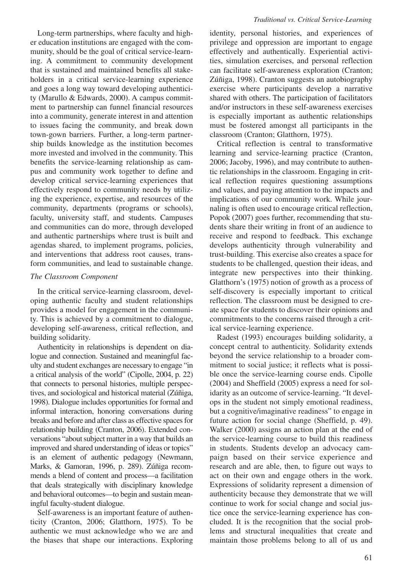Long-term partnerships, where faculty and higher education institutions are engaged with the community, should be the goal of critical service-learning. A commitment to community development that is sustained and maintained benefits all stakeholders in a critical service-learning experience and goes a long way toward developing authenticity (Marullo & Edwards, 2000). A campus commitment to partnership can funnel financial resources into a community, generate interest in and attention to issues facing the community, and break down town-gown barriers. Further, a long-term partnership builds knowledge as the institution becomes more invested and involved in the community. This benefits the service-learning relationship as campus and community work together to define and develop critical service-learning experiences that effectively respond to community needs by utilizing the experience, expertise, and resources of the community, departments (programs or schools), faculty, university staff, and students. Campuses and communities can do more, through developed and authentic partnerships where trust is built and agendas shared, to implement programs, policies, and interventions that address root causes, transform communities, and lead to sustainable change.

#### *The Classroom Component*

In the critical service-learning classroom, developing authentic faculty and student relationships provides a model for engagement in the community. This is achieved by a commitment to dialogue, developing self-awareness, critical reflection, and building solidarity.

Authenticity in relationships is dependent on dialogue and connection. Sustained and meaningful faculty and student exchanges are necessary to engage "in a critical analysis of the world" (Cipolle, 2004, p. 22) that connects to personal histories, multiple perspectives, and sociological and historical material (Zúñiga, 1998). Dialogue includes opportunities for formal and informal interaction, honoring conversations during breaks and before and after class as effective spaces for relationship building (Cranton, 2006). Extended conversations "about subject matter in a way that builds an improved and shared understanding of ideas or topics" is an element of authentic pedagogy (Newmann, Marks, & Gamoran, 1996, p. 289). Zúñiga recommends a blend of content and process—a facilitation that deals strategically with disciplinary knowledge and behavioral outcomes—to begin and sustain meaningful faculty-student dialogue.

Self-awareness is an important feature of authenticity (Cranton, 2006; Glatthorn, 1975). To be authentic we must acknowledge who we are and the biases that shape our interactions. Exploring identity, personal histories, and experiences of privilege and oppression are important to engage effectively and authentically. Experiential activities, simulation exercises, and personal reflection can facilitate self-awareness exploration (Cranton; Zúñiga, 1998). Cranton suggests an autobiography exercise where participants develop a narrative shared with others. The participation of facilitators and/or instructors in these self-awareness exercises is especially important as authentic relationships must be fostered amongst all participants in the classroom (Cranton; Glatthorn, 1975).

Critical reflection is central to transformative learning and service-learning practice (Cranton, 2006; Jacoby, 1996), and may contribute to authentic relationships in the classroom. Engaging in critical reflection requires questioning assumptions and values, and paying attention to the impacts and implications of our community work. While journaling is often used to encourage critical reflection, Popok (2007) goes further, recommending that students share their writing in front of an audience to receive and respond to feedback. This exchange develops authenticity through vulnerability and trust-building. This exercise also creates a space for students to be challenged, question their ideas, and integrate new perspectives into their thinking. Glatthorn's (1975) notion of growth as a process of self-discovery is especially important to critical reflection. The classroom must be designed to create space for students to discover their opinions and commitments to the concerns raised through a critical service-learning experience.

Radest (1993) encourages building solidarity, a concept central to authenticity. Solidarity extends beyond the service relationship to a broader commitment to social justice; it reflects what is possible once the service-learning course ends. Cipolle (2004) and Sheffield (2005) express a need for solidarity as an outcome of service-learning. "It develops in the student not simply emotional readiness, but a cognitive/imaginative readiness" to engage in future action for social change (Sheffield, p. 49). Walker (2000) assigns an action plan at the end of the service-learning course to build this readiness in students. Students develop an advocacy campaign based on their service experience and research and are able, then, to figure out ways to act on their own and engage others in the work. Expressions of solidarity represent a dimension of authenticity because they demonstrate that we will continue to work for social change and social justice once the service-learning experience has concluded. It is the recognition that the social problems and structural inequalities that create and maintain those problems belong to all of us and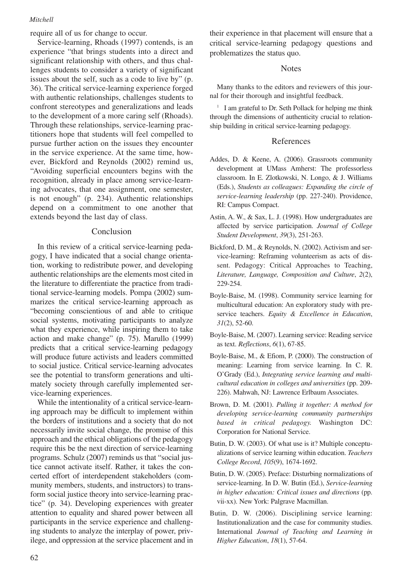require all of us for change to occur.

Service-learning, Rhoads (1997) contends, is an experience "that brings students into a direct and significant relationship with others, and thus challenges students to consider a variety of significant issues about the self, such as a code to live by" (p. 36). The critical service-learning experience forged with authentic relationships, challenges students to confront stereotypes and generalizations and leads to the development of a more caring self (Rhoads). Through these relationships, service-learning practitioners hope that students will feel compelled to pursue further action on the issues they encounter in the service experience. At the same time, however, Bickford and Reynolds (2002) remind us, "Avoiding superficial encounters begins with the recognition, already in place among service-learning advocates, that one assignment, one semester, is not enough" (p. 234). Authentic relationships depend on a commitment to one another that extends beyond the last day of class.

## Conclusion

In this review of a critical service-learning pedagogy, I have indicated that a social change orientation, working to redistribute power, and developing authentic relationships are the elements most cited in the literature to differentiate the practice from traditional service-learning models. Pompa (2002) summarizes the critical service-learning approach as "becoming conscientious of and able to critique social systems, motivating participants to analyze what they experience, while inspiring them to take action and make change" (p. 75). Marullo (1999) predicts that a critical service-learning pedagogy will produce future activists and leaders committed to social justice. Critical service-learning advocates see the potential to transform generations and ultimately society through carefully implemented service-learning experiences.

While the intentionality of a critical service-learning approach may be difficult to implement within the borders of institutions and a society that do not necessarily invite social change, the promise of this approach and the ethical obligations of the pedagogy require this be the next direction of service-learning programs. Schulz (2007) reminds us that "social justice cannot activate itself. Rather, it takes the concerted effort of interdependent stakeholders (community members, students, and instructors) to transform social justice theory into service-learning practice" (p. 34). Developing experiences with greater attention to equality and shared power between all participants in the service experience and challenging students to analyze the interplay of power, privilege, and oppression at the service placement and in their experience in that placement will ensure that a critical service-learning pedagogy questions and problematizes the status quo.

#### Notes

Many thanks to the editors and reviewers of this journal for their thorough and insightful feedback.

<sup>1</sup> I am grateful to Dr. Seth Pollack for helping me think through the dimensions of authenticity crucial to relationship building in critical service-learning pedagogy.

#### References

- Addes, D. & Keene, A. (2006). Grassroots community development at UMass Amherst: The professorless classroom. In E. Zlotkowski, N. Longo, & J. Williams (Eds.), *Students as colleagues: Expanding the circle of service-learning leadership* (pp. 227-240). Providence, RI: Campus Compact.
- Astin, A. W., & Sax, L. J. (1998). How undergraduates are affected by service participation. *Journal of College Student Development*, *39*(3), 251-263.
- Bickford, D. M., & Reynolds, N. (2002). Activism and service-learning: Reframing volunteerism as acts of dissent. Pedagogy: Critical Approaches to Teaching, *Literature, Language, Composition and Culture*, *2*(2), 229-254.
- Boyle-Baise, M. (1998). Community service learning for multicultural education: An exploratory study with preservice teachers. *Equity & Excellence in Education*, *31*(2), 52-60.
- Boyle-Baise, M. (2007). Learning service: Reading service as text. *Reflections*, *6*(1), 67-85.
- Boyle-Baise, M., & Efiom, P. (2000). The construction of meaning: Learning from service learning. In C. R. O'Grady (Ed.), *Integrating service learning and multicultural education in colleges and universities* (pp. 209- 226). Mahwah, NJ: Lawrence Erlbaum Associates.
- Brown, D. M. (2001). *Pulling it together: A method for developing service-learning community partnerships based in critical pedagogy.* Washington DC: Corporation for National Service.
- Butin, D. W. (2003). Of what use is it? Multiple conceptualizations of service learning within education. *Teachers College Record*, *105*(9), 1674-1692.
- Butin, D. W. (2005). Preface: Disturbing normalizations of service-learning. In D. W. Butin (Ed.), *Service-learning in higher education: Critical issues and directions* (pp. vii-xx). New York: Palgrave Macmillan.
- Butin, D. W. (2006). Disciplining service learning: Institutionalization and the case for community studies. International *Journal of Teaching and Learning in Higher Education*, *18*(1), 57-64.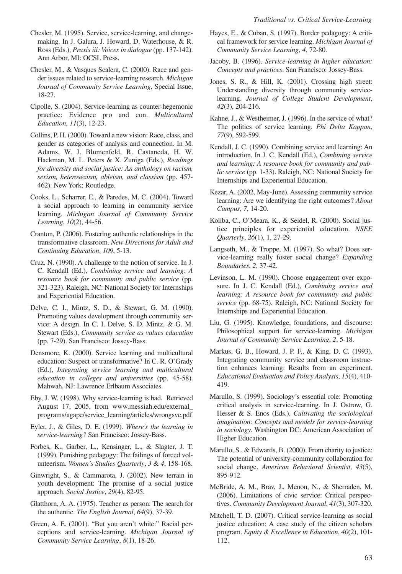- Chesler, M. (1995). Service, service-learning, and changemaking. In J. Galura, J. Howard, D. Waterhouse, & R. Ross (Eds.), *Praxis iii: Voices in dialogue* (pp. 137-142). Ann Arbor, MI: OCSL Press.
- Chesler, M., & Vasques Scalera, C. (2000). Race and gender issues related to service-learning research. *Michigan Journal of Community Service Learning*, Special Issue, 18-27.
- Cipolle, S. (2004). Service-learning as counter-hegemonic practice: Evidence pro and con. *Multicultural Education*, *11*(3), 12-23.
- Collins, P. H. (2000). Toward a new vision: Race, class, and gender as categories of analysis and connection. In M. Adams, W. J. Blumenfeld, R. Castaneda, H. W. Hackman, M. L. Peters & X. Zuniga (Eds.), *Readings for diversity and social justice: An anthology on racism, sexism, heterosexism, ableism, and classism* (pp. 457- 462). New York: Routledge.
- Cooks, L., Scharrer, E., & Paredes, M. C. (2004). Toward a social approach to learning in community service learning. *Michigan Journal of Community Service Learning*, *10*(2), 44-56.
- Cranton, P. (2006). Fostering authentic relationships in the transformative classroom. *New Directions for Adult and Continuing Education*, *109*, 5-13.
- Cruz, N. (1990). A challenge to the notion of service. In J. C. Kendall (Ed.), *Combining service and learning: A resource book for community and public service* (pp. 321-323). Raleigh, NC: National Society for Internships and Experiential Education.
- Delve, C. I., Mintz, S. D., & Stewart, G. M. (1990). Promoting values development through community service: A design. In C. I. Delve, S. D. Mintz, & G. M. Stewart (Eds.), *Community service as values education* (pp. 7-29). San Francisco: Jossey-Bass.
- Densmore, K. (2000). Service learning and multicultural education: Suspect or transformative? In C. R. O'Grady (Ed.), *Integrating service learning and multicultural education in colleges and universities* (pp. 45-58). Mahwah, NJ: Lawrence Erlbaum Associates.
- Eby, J. W. (1998). Why service-learning is bad. Retrieved August 17, 2005, from www.messiah.edu/external\_ programs/agape/service\_learning/articles/wrongsvc.pdf
- Eyler, J., & Giles, D. E. (1999). *Where's the learning in service-learning?* San Francisco: Jossey-Bass.
- Forbes, K., Garber, L., Kensinger, L., & Slagter, J. T. (1999). Punishing pedagogy: The failings of forced volunteerism. *Women's Studies Quarterly*, *3* & *4*, 158-168.
- Ginwright, S., & Cammarota, J. (2002). New terrain in youth development: The promise of a social justice approach. *Social Justice*, *29*(4), 82-95.
- Glatthorn, A. A. (1975). Teacher as person: The search for the authentic. *The English Journal*, *64*(9), 37-39.
- Green, A. E. (2001). "But you aren't white:" Racial perceptions and service-learning. *Michigan Journal of Community Service Learning*, *8*(1), 18-26.
- Hayes, E., & Cuban, S. (1997). Border pedagogy: A critical framework for service learning. *Michigan Journal of Community Service Learning*, *4*, 72-80.
- Jacoby, B. (1996). *Service-learning in higher education: Concepts and practices*. San Francisco: Jossey-Bass.
- Jones, S. R., & Hill, K. (2001). Crossing high street: Understanding diversity through community servicelearning. *Journal of College Student Development*, *42*(3), 204-216.
- Kahne, J., & Westheimer, J. (1996). In the service of what? The politics of service learning. *Phi Delta Kappan*, *77*(9), 592-599.
- Kendall, J. C. (1990). Combining service and learning: An introduction. In J. C. Kendall (Ed.), *Combining service and learning: A resource book for community and public service* (pp. 1-33). Raleigh, NC: National Society for Internships and Experiential Education.
- Kezar, A. (2002, May-June). Assessing community service learning: Are we identifying the right outcomes? *About Campus*, *7*, 14-20.
- Koliba, C., O'Meara, K., & Seidel, R. (2000). Social justice principles for experiential education. *NSEE Quarterly*, *26*(1), 1, 27-29.
- Langseth, M., & Troppe, M. (1997). So what? Does service-learning really foster social change? *Expanding Boundaries*, *2*, 37-42.
- Levinson, L. M. (1990). Choose engagement over exposure. In J. C. Kendall (Ed.), *Combining service and learning: A resource book for community and public service* (pp. 68-75). Raleigh, NC: National Society for Internships and Experiential Education.
- Liu, G. (1995). Knowledge, foundations, and discourse: Philosophical support for service-learning. *Michigan Journal of Community Service Learning*, *2*, 5-18.
- Markus, G. B., Howard, J. P. F., & King, D. C. (1993). Integrating community service and classroom instruction enhances learning: Results from an experiment. *Educational Evaluation and Policy Analysis*, *15*(4), 410- 419.
- Marullo, S. (1999). Sociology's essential role: Promoting critical analysis in service-learning. In J. Ostrow, G. Hesser & S. Enos (Eds.), *Cultivating the sociological imagination: Concepts and models for service-learning in sociology*. Washington DC: American Association of Higher Education.
- Marullo, S., & Edwards, B. (2000). From charity to justice: The potential of university-community collaboration for social change. *American Behavioral Scientist*, *43*(5), 895-912.
- McBride, A. M., Brav, J., Menon, N., & Sherraden, M. (2006). Limitations of civic service: Critical perspectives. *Community Development Journal*, *41*(3), 307-320.
- Mitchell, T. D. (2007). Critical service-learning as social justice education: A case study of the citizen scholars program. *Equity & Excellence in Education*, *40*(2), 101- 112.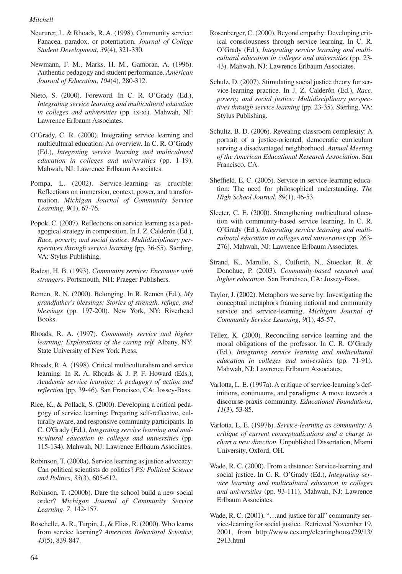- Neururer, J., & Rhoads, R. A. (1998). Community service: Panacea, paradox, or potentiation. *Journal of College Student Development*, *39*(4), 321-330.
- Newmann, F. M., Marks, H. M., Gamoran, A. (1996). Authentic pedagogy and student performance. *American Journal of Education*, *104*(4), 280-312.
- Nieto, S. (2000). Foreword. In C. R. O'Grady (Ed.), *Integrating service learning and multicultural education in colleges and universities* (pp. ix-xi). Mahwah, NJ: Lawrence Erlbaum Associates.
- O'Grady, C. R. (2000). Integrating service learning and multicultural education: An overview. In C. R. O'Grady (Ed.), *Integrating service learning and multicultural education in colleges and universities* (pp. 1-19). Mahwah, NJ: Lawrence Erlbaum Associates.
- Pompa, L. (2002). Service-learning as crucible: Reflections on immersion, context, power, and transformation. *Michigan Journal of Community Service Learning*, *9*(1), 67-76.
- Popok, C. (2007). Reflections on service learning as a pedagogical strategy in composition. In J. Z. Calderón (Ed.), *Race, poverty, and social justice: Multidisciplinary perspectives through service learning* (pp. 36-55). Sterling, VA: Stylus Publishing.
- Radest, H. B. (1993). *Community service: Encounter with strangers*. Portsmouth, NH: Praeger Publishers.
- Remen, R. N. (2000). Belonging. In R. Remen (Ed.), *My grandfather's blessings: Stories of strength, refuge, and blessings* (pp. 197-200). New York, NY: Riverhead Books.
- Rhoads, R. A. (1997). *Community service and higher learning: Explorations of the caring self.* Albany, NY: State University of New York Press.
- Rhoads, R. A. (1998). Critical multiculturalism and service learning. In R. A. Rhoads & J. P. F. Howard (Eds.), *Academic service learning: A pedagogy of action and reflection* (pp. 39-46). San Francisco, CA: Jossey-Bass.
- Rice, K., & Pollack, S. (2000). Developing a critical pedagogy of service learning: Preparing self-reflective, culturally aware, and responsive community participants. In C. O'Grady (Ed.), *Integrating service learning and multicultural education in colleges and universities* (pp. 115-134). Mahwah, NJ: Lawrence Erlbaum Associates.
- Robinson, T. (2000a). Service learning as justice advocacy: Can political scientists do politics? *PS: Political Science and Politics*, *33*(3), 605-612.
- Robinson, T. (2000b). Dare the school build a new social order? *Michigan Journal of Community Service Learning*, *7*, 142-157.
- Roschelle, A. R., Turpin, J., & Elias, R. (2000). Who learns from service learning? *American Behavioral Scientist*, *43*(5), 839-847.
- Rosenberger, C. (2000). Beyond empathy: Developing critical consciousness through service learning. In C. R. O'Grady (Ed.), *Integrating service learning and multicultural education in colleges and universities* (pp. 23- 43). Mahwah, NJ: Lawrence Erlbaum Associates.
- Schulz, D. (2007). Stimulating social justice theory for service-learning practice. In J. Z. Calderón (Ed.), *Race, poverty, and social justice: Multidisciplinary perspectives through service learning* (pp. 23-35). Sterling, VA: Stylus Publishing.
- Schultz, B. D. (2006). Revealing classroom complexity: A portrait of a justice-oriented, democratic curriculum serving a disadvantaged neighborhood. *Annual Meeting of the American Educational Research Association*. San Francisco, CA.
- Sheffield, E. C. (2005). Service in service-learning education: The need for philosophical understanding. *The High School Journal*, *89*(1), 46-53.
- Sleeter, C. E. (2000). Strengthening multicultural education with community-based service learning. In C. R. O'Grady (Ed.), *Integrating service learning and multicultural education in colleges and universities* (pp. 263- 276). Mahwah, NJ: Lawrence Erlbaum Associates.
- Strand, K., Marullo, S., Cutforth, N., Stoecker, R. & Donohue, P. (2003). *Community-based research and higher education*. San Francisco, CA: Jossey-Bass.
- Taylor, J. (2002). Metaphors we serve by: Investigating the conceptual metaphors framing national and community service and service-learning. *Michigan Journal of Community Service Learning*, *9*(1), 45-57.
- Téllez, K. (2000). Reconciling service learning and the moral obligations of the professor. In C. R. O'Grady (Ed.), *Integrating service learning and multicultural education in colleges and universities* (pp. 71-91). Mahwah, NJ: Lawrence Erlbaum Associates.
- Varlotta, L. E. (1997a). A critique of service-learning's definitions, continuums, and paradigms: A move towards a discourse-praxis community. *Educational Foundations*, *11*(3), 53-85.
- Varlotta, L. E. (1997b). *Service-learning as community: A critique of current conceptualizations and a charge to chart a new direction*. Unpublished Dissertation, Miami University, Oxford, OH.
- Wade, R. C. (2000). From a distance: Service-learning and social justice. In C. R. O'Grady (Ed.), *Integrating service learning and multicultural education in colleges and universities* (pp. 93-111). Mahwah, NJ: Lawrence Erlbaum Associates.
- Wade, R. C. (2001). "...and justice for all" community service-learning for social justice. Retrieved November 19, 2001, from http://www.ecs.org/clearinghouse/29/13/ 2913.html